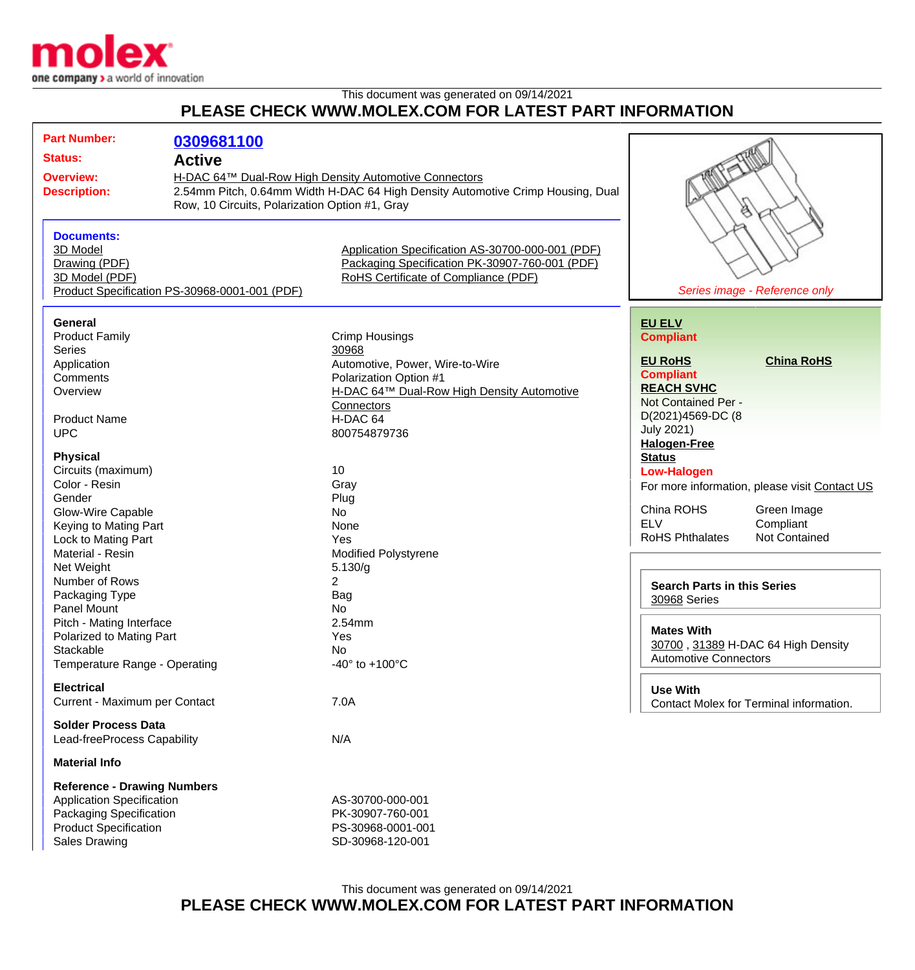

## This document was generated on 09/14/2021 **PLEASE CHECK WWW.MOLEX.COM FOR LATEST PART INFORMATION**

| <b>Part Number:</b>                            |                                                                                 |                                                  |                                                    |                      |  |
|------------------------------------------------|---------------------------------------------------------------------------------|--------------------------------------------------|----------------------------------------------------|----------------------|--|
|                                                | 0309681100                                                                      |                                                  |                                                    |                      |  |
| <b>Status:</b>                                 | <b>Active</b><br>H-DAC 64™ Dual-Row High Density Automotive Connectors          |                                                  |                                                    |                      |  |
| <b>Overview:</b>                               |                                                                                 |                                                  |                                                    |                      |  |
|                                                |                                                                                 |                                                  |                                                    |                      |  |
| <b>Description:</b>                            | 2.54mm Pitch, 0.64mm Width H-DAC 64 High Density Automotive Crimp Housing, Dual |                                                  |                                                    |                      |  |
| Row, 10 Circuits, Polarization Option #1, Gray |                                                                                 |                                                  |                                                    | ë                    |  |
|                                                |                                                                                 |                                                  |                                                    |                      |  |
| <b>Documents:</b>                              |                                                                                 |                                                  |                                                    |                      |  |
| 3D Model                                       |                                                                                 | Application Specification AS-30700-000-001 (PDF) |                                                    |                      |  |
| Drawing (PDF)                                  |                                                                                 | Packaging Specification PK-30907-760-001 (PDF)   |                                                    |                      |  |
| 3D Model (PDF)                                 |                                                                                 | RoHS Certificate of Compliance (PDF)             |                                                    |                      |  |
| Product Specification PS-30968-0001-001 (PDF)  |                                                                                 | Series image - Reference only                    |                                                    |                      |  |
|                                                |                                                                                 |                                                  |                                                    |                      |  |
| <b>General</b>                                 |                                                                                 |                                                  |                                                    |                      |  |
|                                                |                                                                                 |                                                  | <b>EU ELV</b>                                      |                      |  |
| <b>Product Family</b>                          |                                                                                 | Crimp Housings                                   | <b>Compliant</b>                                   |                      |  |
| <b>Series</b>                                  |                                                                                 | 30968                                            | <b>EU RoHS</b>                                     | <b>China RoHS</b>    |  |
| Application                                    |                                                                                 | Automotive, Power, Wire-to-Wire                  |                                                    |                      |  |
| Comments                                       |                                                                                 | Polarization Option #1                           | <b>Compliant</b>                                   |                      |  |
| Overview                                       |                                                                                 | H-DAC 64™ Dual-Row High Density Automotive       | <b>REACH SVHC</b>                                  |                      |  |
|                                                |                                                                                 | Connectors                                       | Not Contained Per -                                |                      |  |
| <b>Product Name</b>                            |                                                                                 | H-DAC 64                                         | D(2021)4569-DC (8                                  |                      |  |
| <b>UPC</b>                                     |                                                                                 | 800754879736                                     | <b>July 2021)</b>                                  |                      |  |
|                                                |                                                                                 |                                                  | <b>Halogen-Free</b>                                |                      |  |
| <b>Physical</b>                                |                                                                                 |                                                  | <b>Status</b>                                      |                      |  |
| Circuits (maximum)                             |                                                                                 | 10                                               | <b>Low-Halogen</b>                                 |                      |  |
| Color - Resin                                  |                                                                                 | Gray                                             | For more information, please visit Contact US      |                      |  |
| Gender                                         |                                                                                 | Plug                                             |                                                    |                      |  |
| Glow-Wire Capable                              |                                                                                 | No                                               | China ROHS                                         | Green Image          |  |
| Keying to Mating Part                          |                                                                                 | None                                             | <b>ELV</b>                                         | Compliant            |  |
| Lock to Mating Part                            |                                                                                 | Yes                                              | <b>RoHS Phthalates</b>                             | <b>Not Contained</b> |  |
| Material - Resin                               |                                                                                 |                                                  |                                                    |                      |  |
|                                                |                                                                                 | <b>Modified Polystyrene</b>                      |                                                    |                      |  |
| Net Weight                                     |                                                                                 | 5.130/g                                          |                                                    |                      |  |
| Number of Rows                                 |                                                                                 | $\overline{2}$                                   | <b>Search Parts in this Series</b><br>30968 Series |                      |  |
| Packaging Type                                 |                                                                                 | Bag                                              |                                                    |                      |  |
| Panel Mount                                    |                                                                                 | No                                               |                                                    |                      |  |
| Pitch - Mating Interface                       |                                                                                 | 2.54mm                                           | <b>Mates With</b>                                  |                      |  |
| Polarized to Mating Part                       |                                                                                 | Yes                                              |                                                    |                      |  |
| Stackable                                      |                                                                                 | No                                               | 30700, 31389 H-DAC 64 High Density                 |                      |  |
| Temperature Range - Operating                  |                                                                                 | $-40^{\circ}$ to $+100^{\circ}$ C                | <b>Automotive Connectors</b>                       |                      |  |
|                                                |                                                                                 |                                                  |                                                    |                      |  |
| <b>Electrical</b>                              |                                                                                 |                                                  | <b>Use With</b>                                    |                      |  |
| Current - Maximum per Contact                  |                                                                                 | 7.0A                                             | Contact Molex for Terminal information.            |                      |  |
|                                                |                                                                                 |                                                  |                                                    |                      |  |
| <b>Solder Process Data</b>                     |                                                                                 |                                                  |                                                    |                      |  |
| Lead-freeProcess Capability                    |                                                                                 | N/A                                              |                                                    |                      |  |
| <b>Material Info</b>                           |                                                                                 |                                                  |                                                    |                      |  |
| <b>Reference - Drawing Numbers</b>             |                                                                                 |                                                  |                                                    |                      |  |
|                                                |                                                                                 | AS-30700-000-001                                 |                                                    |                      |  |
| <b>Application Specification</b>               |                                                                                 |                                                  |                                                    |                      |  |
| Packaging Specification                        |                                                                                 | PK-30907-760-001                                 |                                                    |                      |  |
| <b>Product Specification</b>                   |                                                                                 | PS-30968-0001-001                                |                                                    |                      |  |
| <b>Sales Drawing</b>                           |                                                                                 | SD-30968-120-001                                 |                                                    |                      |  |